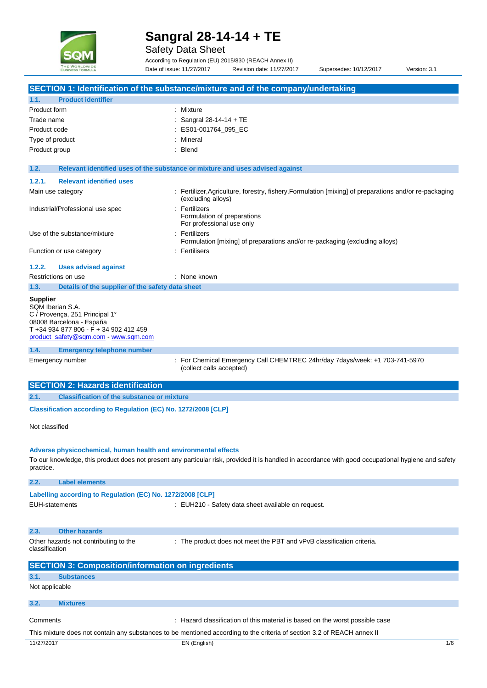

Safety Data Sheet

According to Regulation (EU) 2015/830 (REACH Annex II) Date of issue: 11/27/2017 Revision date: 11/27/2017 Supersedes: 10/12/2017 Version: 3.1

|                                                                                                                                                                                     | SECTION 1: Identification of the substance/mixture and of the company/undertaking                                                                   |
|-------------------------------------------------------------------------------------------------------------------------------------------------------------------------------------|-----------------------------------------------------------------------------------------------------------------------------------------------------|
| <b>Product identifier</b><br>1.1.                                                                                                                                                   |                                                                                                                                                     |
| Product form                                                                                                                                                                        | Mixture<br>÷                                                                                                                                        |
| Trade name                                                                                                                                                                          | Sangral 28-14-14 + TE                                                                                                                               |
| Product code                                                                                                                                                                        | ES01-001764_095_EC                                                                                                                                  |
| Type of product                                                                                                                                                                     | Mineral                                                                                                                                             |
| Product group                                                                                                                                                                       | <b>Blend</b>                                                                                                                                        |
|                                                                                                                                                                                     |                                                                                                                                                     |
| 1.2.                                                                                                                                                                                | Relevant identified uses of the substance or mixture and uses advised against                                                                       |
| <b>Relevant identified uses</b><br>1.2.1.                                                                                                                                           |                                                                                                                                                     |
| Main use category                                                                                                                                                                   | : Fertilizer, Agriculture, forestry, fishery, Formulation [mixing] of preparations and/or re-packaging<br>(excluding alloys)                        |
| Industrial/Professional use spec                                                                                                                                                    | : Fertilizers<br>Formulation of preparations<br>For professional use only                                                                           |
| Use of the substance/mixture                                                                                                                                                        | : Fertilizers<br>Formulation [mixing] of preparations and/or re-packaging (excluding alloys)                                                        |
| Function or use category                                                                                                                                                            | : Fertilisers                                                                                                                                       |
| 1.2.2.<br><b>Uses advised against</b>                                                                                                                                               |                                                                                                                                                     |
| Restrictions on use                                                                                                                                                                 | : None known                                                                                                                                        |
| Details of the supplier of the safety data sheet<br>1.3.                                                                                                                            |                                                                                                                                                     |
| <b>Supplier</b><br>SQM Iberian S.A.<br>C / Provenca, 251 Principal 1°<br>08008 Barcelona - España<br>T +34 934 877 806 - F + 34 902 412 459<br>product_safety@sqm.com - www.sqm.com |                                                                                                                                                     |
| 1.4.<br><b>Emergency telephone number</b>                                                                                                                                           |                                                                                                                                                     |
| Emergency number                                                                                                                                                                    | For Chemical Emergency Call CHEMTREC 24hr/day 7days/week: +1 703-741-5970<br>(collect calls accepted)                                               |
| <b>SECTION 2: Hazards identification</b>                                                                                                                                            |                                                                                                                                                     |
| <b>Classification of the substance or mixture</b><br>2.1.                                                                                                                           |                                                                                                                                                     |
| Classification according to Regulation (EC) No. 1272/2008 [CLP]                                                                                                                     |                                                                                                                                                     |
| Not classified                                                                                                                                                                      |                                                                                                                                                     |
| Adverse physicochemical, human health and environmental effects<br>practice.                                                                                                        | To our knowledge, this product does not present any particular risk, provided it is handled in accordance with good occupational hygiene and safety |
| <b>Label elements</b><br>2.2.                                                                                                                                                       |                                                                                                                                                     |
| Labelling according to Regulation (EC) No. 1272/2008 [CLP]<br><b>EUH-statements</b>                                                                                                 | : EUH210 - Safety data sheet available on request.                                                                                                  |
| <b>Other hazards</b><br>2.3.                                                                                                                                                        |                                                                                                                                                     |
| Other hazards not contributing to the<br>classification                                                                                                                             | : The product does not meet the PBT and vPvB classification criteria.                                                                               |
| <b>SECTION 3: Composition/information on ingredients</b>                                                                                                                            |                                                                                                                                                     |
| <b>Substances</b><br>3.1.                                                                                                                                                           |                                                                                                                                                     |
| Not applicable                                                                                                                                                                      |                                                                                                                                                     |
| 3.2.<br><b>Mixtures</b>                                                                                                                                                             |                                                                                                                                                     |
| Comments                                                                                                                                                                            | : Hazard classification of this material is based on the worst possible case                                                                        |
|                                                                                                                                                                                     | This mixture does not contain any substances to be mentioned according to the criteria of section 3.2 of REACH annex II                             |
| 11/27/2017                                                                                                                                                                          | EN (English)<br>1/6                                                                                                                                 |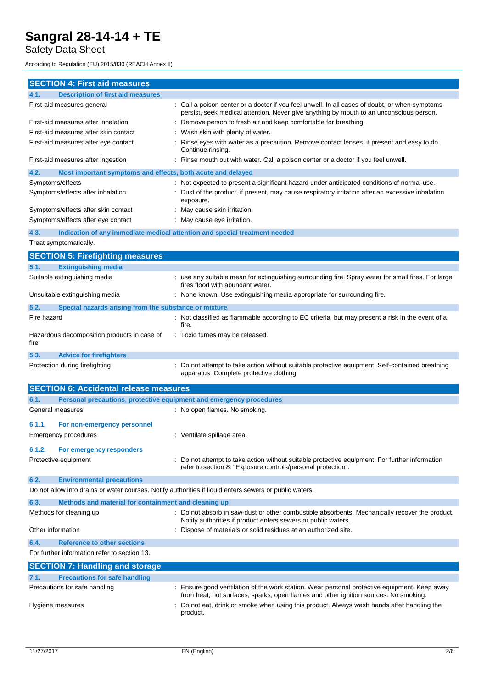Safety Data Sheet

According to Regulation (EU) 2015/830 (REACH Annex II)

| <b>SECTION 4: First aid measures</b>                                                                                                                  |                                                                                                                                                                                      |
|-------------------------------------------------------------------------------------------------------------------------------------------------------|--------------------------------------------------------------------------------------------------------------------------------------------------------------------------------------|
| <b>Description of first aid measures</b><br>4.1.                                                                                                      |                                                                                                                                                                                      |
| First-aid measures general                                                                                                                            | Call a poison center or a doctor if you feel unwell. In all cases of doubt, or when symptoms                                                                                         |
| First-aid measures after inhalation                                                                                                                   | persist, seek medical attention. Never give anything by mouth to an unconscious person.<br>Remove person to fresh air and keep comfortable for breathing.                            |
| First-aid measures after skin contact                                                                                                                 | Wash skin with plenty of water.                                                                                                                                                      |
| First-aid measures after eye contact<br>Rinse eyes with water as a precaution. Remove contact lenses, if present and easy to do.<br>Continue rinsing. |                                                                                                                                                                                      |
| First-aid measures after ingestion                                                                                                                    | Rinse mouth out with water. Call a poison center or a doctor if you feel unwell.                                                                                                     |
| 4.2.<br>Most important symptoms and effects, both acute and delayed                                                                                   |                                                                                                                                                                                      |
| Symptoms/effects                                                                                                                                      | Not expected to present a significant hazard under anticipated conditions of normal use.                                                                                             |
| Symptoms/effects after inhalation                                                                                                                     | Dust of the product, if present, may cause respiratory irritation after an excessive inhalation<br>exposure.                                                                         |
| Symptoms/effects after skin contact                                                                                                                   | May cause skin irritation.                                                                                                                                                           |
| Symptoms/effects after eye contact                                                                                                                    | May cause eye irritation.                                                                                                                                                            |
| 4.3.                                                                                                                                                  | Indication of any immediate medical attention and special treatment needed                                                                                                           |
| Treat symptomatically.                                                                                                                                |                                                                                                                                                                                      |
| <b>SECTION 5: Firefighting measures</b>                                                                                                               |                                                                                                                                                                                      |
| 5.1.<br><b>Extinguishing media</b>                                                                                                                    |                                                                                                                                                                                      |
| Suitable extinguishing media                                                                                                                          | : use any suitable mean for extinguishing surrounding fire. Spray water for small fires. For large<br>fires flood with abundant water.                                               |
| Unsuitable extinguishing media                                                                                                                        | : None known. Use extinguishing media appropriate for surrounding fire.                                                                                                              |
| 5.2.<br>Special hazards arising from the substance or mixture                                                                                         |                                                                                                                                                                                      |
| Fire hazard                                                                                                                                           | Not classified as flammable according to EC criteria, but may present a risk in the event of a<br>fire.                                                                              |
| Hazardous decomposition products in case of<br>fire                                                                                                   | : Toxic fumes may be released.                                                                                                                                                       |
| 5.3.<br><b>Advice for firefighters</b>                                                                                                                |                                                                                                                                                                                      |
| Protection during firefighting                                                                                                                        | Do not attempt to take action without suitable protective equipment. Self-contained breathing<br>apparatus. Complete protective clothing.                                            |
| <b>SECTION 6: Accidental release measures</b>                                                                                                         |                                                                                                                                                                                      |
| Personal precautions, protective equipment and emergency procedures<br>6.1.                                                                           |                                                                                                                                                                                      |
| General measures                                                                                                                                      | : No open flames. No smoking.                                                                                                                                                        |
| 6.1.1.<br>For non-emergency personnel                                                                                                                 |                                                                                                                                                                                      |
| Emergency procedures                                                                                                                                  | : Ventilate spillage area.                                                                                                                                                           |
| 6.1.2.<br>For emergency responders                                                                                                                    |                                                                                                                                                                                      |
| Protective equipment                                                                                                                                  | Do not attempt to take action without suitable protective equipment. For further information<br>refer to section 8: "Exposure controls/personal protection".                         |
| 6.2.<br><b>Environmental precautions</b>                                                                                                              |                                                                                                                                                                                      |
| Do not allow into drains or water courses. Notify authorities if liquid enters sewers or public waters.                                               |                                                                                                                                                                                      |
| 6.3.<br>Methods and material for containment and cleaning up                                                                                          |                                                                                                                                                                                      |
| Methods for cleaning up                                                                                                                               | : Do not absorb in saw-dust or other combustible absorbents. Mechanically recover the product.<br>Notify authorities if product enters sewers or public waters.                      |
| Other information                                                                                                                                     | Dispose of materials or solid residues at an authorized site.                                                                                                                        |
| 6.4.<br><b>Reference to other sections</b>                                                                                                            |                                                                                                                                                                                      |
| For further information refer to section 13.                                                                                                          |                                                                                                                                                                                      |
| <b>SECTION 7: Handling and storage</b>                                                                                                                |                                                                                                                                                                                      |
| 7.1.<br><b>Precautions for safe handling</b>                                                                                                          |                                                                                                                                                                                      |
| Precautions for safe handling                                                                                                                         | : Ensure good ventilation of the work station. Wear personal protective equipment. Keep away<br>from heat, hot surfaces, sparks, open flames and other ignition sources. No smoking. |
| Hygiene measures                                                                                                                                      | Do not eat, drink or smoke when using this product. Always wash hands after handling the<br>product.                                                                                 |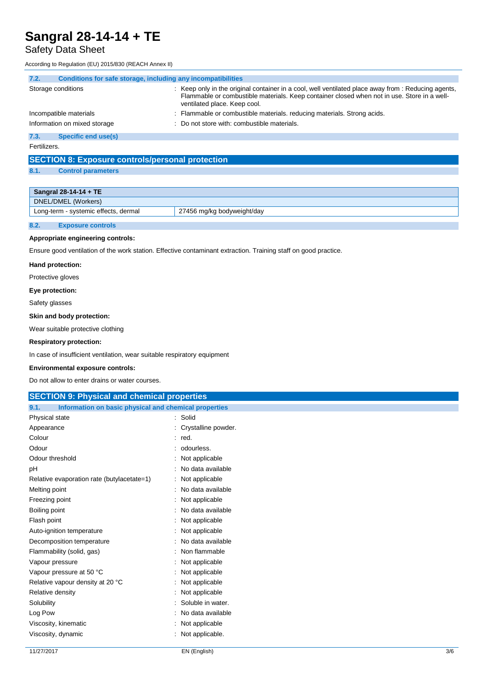# Safety Data Sheet

According to Regulation (EU) 2015/830 (REACH Annex II)

| 7.2.         | Conditions for safe storage, including any incompatibilities |  |                                                                                                                                                                                                                                  |  |  |
|--------------|--------------------------------------------------------------|--|----------------------------------------------------------------------------------------------------------------------------------------------------------------------------------------------------------------------------------|--|--|
|              | Storage conditions                                           |  | Keep only in the original container in a cool, well ventilated place away from : Reducing agents,<br>Flammable or combustible materials. Keep container closed when not in use. Store in a well-<br>ventilated place. Keep cool. |  |  |
|              | Incompatible materials                                       |  | Flammable or combustible materials, reducing materials. Strong acids.                                                                                                                                                            |  |  |
|              | Information on mixed storage                                 |  | : Do not store with: combustible materials.                                                                                                                                                                                      |  |  |
| 7.3.         | Specific end use(s)                                          |  |                                                                                                                                                                                                                                  |  |  |
| Fertilizers. |                                                              |  |                                                                                                                                                                                                                                  |  |  |

# **SECTION 8: Exposure controls/personal protection**

## **8.1. Control parameters**

| Sangral $28-14-14 + TE$              |                            |  |  |
|--------------------------------------|----------------------------|--|--|
| DNEL/DMEL (Workers)                  |                            |  |  |
| Long-term - systemic effects, dermal | 27456 mg/kg bodyweight/day |  |  |
|                                      |                            |  |  |

# **8.2. Exposure controls**

### **Appropriate engineering controls:**

Ensure good ventilation of the work station. Effective contaminant extraction. Training staff on good practice.

### **Hand protection:**

Protective gloves

### **Eye protection:**

Safety glasses

#### **Skin and body protection:**

Wear suitable protective clothing

### **Respiratory protection:**

In case of insufficient ventilation, wear suitable respiratory equipment

### **Environmental exposure controls:**

Do not allow to enter drains or water courses.

| <b>SECTION 9: Physical and chemical properties</b>            |                     |  |  |  |
|---------------------------------------------------------------|---------------------|--|--|--|
| Information on basic physical and chemical properties<br>9.1. |                     |  |  |  |
| Physical state                                                | : Solid             |  |  |  |
| Appearance                                                    | Crystalline powder. |  |  |  |
| Colour                                                        | $:$ red.            |  |  |  |
| Odour                                                         | odourless.          |  |  |  |
| Odour threshold                                               | Not applicable      |  |  |  |
| рH                                                            | No data available   |  |  |  |
| Relative evaporation rate (butylacetate=1)                    | : Not applicable    |  |  |  |
| Melting point                                                 | No data available   |  |  |  |
| Freezing point                                                | Not applicable      |  |  |  |
| Boiling point                                                 | No data available   |  |  |  |
| Flash point                                                   | Not applicable      |  |  |  |
| Auto-ignition temperature                                     | Not applicable      |  |  |  |
| Decomposition temperature                                     | No data available   |  |  |  |
| Flammability (solid, gas)                                     | Non flammable       |  |  |  |
| Vapour pressure                                               | Not applicable      |  |  |  |
| Vapour pressure at 50 °C                                      | Not applicable      |  |  |  |
| Relative vapour density at 20 °C                              | Not applicable      |  |  |  |
| Relative density                                              | Not applicable      |  |  |  |
| Solubility                                                    | Soluble in water.   |  |  |  |
| Log Pow                                                       | No data available   |  |  |  |
| Viscosity, kinematic                                          | Not applicable      |  |  |  |
| Viscosity, dynamic                                            | Not applicable.     |  |  |  |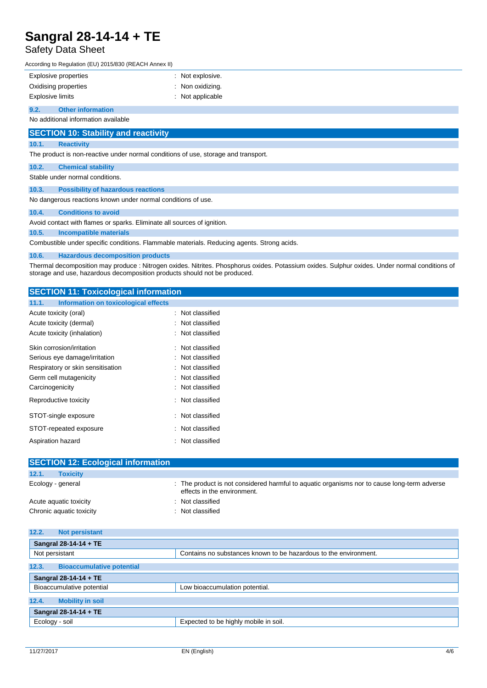# Safety Data Sheet

According to Regulation (EU) 2015/830 (REACH Annex II)

| <b>Explosive properties</b>         | : Not explosive. |
|-------------------------------------|------------------|
| Oxidising properties                | : Non oxidizing. |
| Explosive limits                    | : Not applicable |
| 9.2.<br><b>Other information</b>    |                  |
| No additional information available |                  |
|                                     |                  |

# **SECTION 10: Stability and reactivity**

## **10.1. Reactivity**

The product is non-reactive under normal conditions of use, storage and transport.

## **10.2. Chemical stability**

Stable under normal conditions.

## **10.3. Possibility of hazardous reactions**

No dangerous reactions known under normal conditions of use.

### **10.4. Conditions to avoid**

Avoid contact with flames or sparks. Eliminate all sources of ignition.

## **10.5. Incompatible materials**

Combustible under specific conditions. Flammable materials. Reducing agents. Strong acids.

### **10.6. Hazardous decomposition products**

Thermal decomposition may produce : Nitrogen oxides. Nitrites. Phosphorus oxides. Potassium oxides. Sulphur oxides. Under normal conditions of storage and use, hazardous decomposition products should not be produced.

## **SECTION 11: Toxicological information**

| 11.1.<br>Information on toxicological effects |                  |
|-----------------------------------------------|------------------|
| Acute toxicity (oral)                         | : Not classified |
| Acute toxicity (dermal)                       | Not classified   |
| Acute toxicity (inhalation)                   | Not classified   |
| Skin corrosion/irritation                     | : Not classified |
| Serious eye damage/irritation                 | : Not classified |
| Respiratory or skin sensitisation             | Not classified   |
| Germ cell mutagenicity                        | Not classified   |
| Carcinogenicity                               | : Not classified |
| Reproductive toxicity                         | : Not classified |
| STOT-single exposure                          | : Not classified |
| STOT-repeated exposure                        | : Not classified |
| Aspiration hazard                             | : Not classified |

| <b>SECTION 12: Ecological information</b> |                                                                                                                            |
|-------------------------------------------|----------------------------------------------------------------------------------------------------------------------------|
| 12.1.<br><b>Toxicity</b>                  |                                                                                                                            |
| Ecology - general                         | : The product is not considered harmful to aquatic organisms nor to cause long-term adverse<br>effects in the environment. |
| Acute aquatic toxicity                    | : Not classified                                                                                                           |
| Chronic aquatic toxicity                  | : Not classified                                                                                                           |

| 12.2.<br><b>Not persistant</b>            |                                                                  |  |  |  |
|-------------------------------------------|------------------------------------------------------------------|--|--|--|
| Sangral 28-14-14 + TE                     |                                                                  |  |  |  |
| Not persistant                            | Contains no substances known to be hazardous to the environment. |  |  |  |
| 12.3.<br><b>Bioaccumulative potential</b> |                                                                  |  |  |  |
| Sangral 28-14-14 + TE                     |                                                                  |  |  |  |
| Bioaccumulative potential                 | Low bioaccumulation potential.                                   |  |  |  |
| 12.4.<br><b>Mobility in soil</b>          |                                                                  |  |  |  |
| Sangral 28-14-14 + TE                     |                                                                  |  |  |  |
| Ecology - soil                            | Expected to be highly mobile in soil.                            |  |  |  |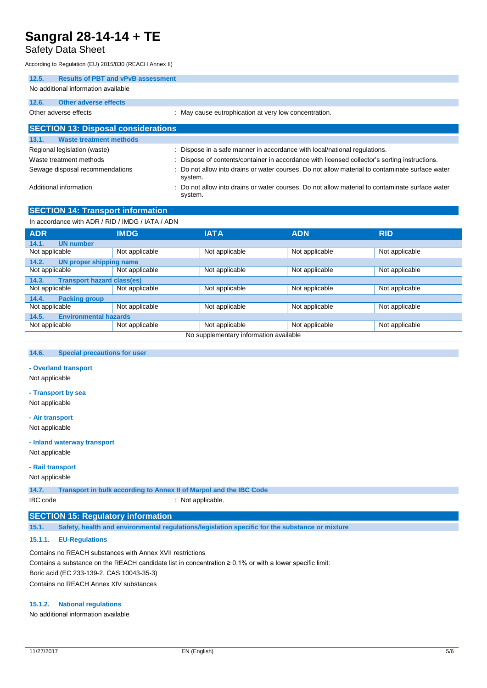# Safety Data Sheet

According to Regulation (EU) 2015/830 (REACH Annex II)

| <b>Results of PBT and vPvB assessment</b><br>12.5. |                                                                                                            |
|----------------------------------------------------|------------------------------------------------------------------------------------------------------------|
| No additional information available                |                                                                                                            |
| Other adverse effects<br>12.6.                     |                                                                                                            |
| Other adverse effects                              | : May cause eutrophication at very low concentration.                                                      |
| <b>SECTION 13: Disposal considerations</b>         |                                                                                                            |
| <b>Waste treatment methods</b><br>13.1.            |                                                                                                            |
| Regional legislation (waste)                       | : Dispose in a safe manner in accordance with local/national regulations.                                  |
| Waste treatment methods                            | : Dispose of contents/container in accordance with licensed collector's sorting instructions.              |
| Sewage disposal recommendations                    | : Do not allow into drains or water courses. Do not allow material to contaminate surface water<br>system. |
| Additional information                             | : Do not allow into drains or water courses. Do not allow material to contaminate surface water            |

system.

# **SECTION 14: Transport information**

In accordance with ADR / RID / IMDG / IATA / ADN

| <b>ADR</b>                                 | <b>IMDG</b>    | <b>IATA</b>    | <b>ADN</b>     | <b>RID</b>     |  |
|--------------------------------------------|----------------|----------------|----------------|----------------|--|
| 14.1.<br><b>UN number</b>                  |                |                |                |                |  |
| Not applicable                             | Not applicable | Not applicable | Not applicable | Not applicable |  |
| 14.2.<br><b>UN proper shipping name</b>    |                |                |                |                |  |
| Not applicable                             | Not applicable | Not applicable | Not applicable | Not applicable |  |
| <b>Transport hazard class(es)</b><br>14.3. |                |                |                |                |  |
| Not applicable                             | Not applicable | Not applicable | Not applicable | Not applicable |  |
| 14.4.<br><b>Packing group</b>              |                |                |                |                |  |
| Not applicable                             | Not applicable | Not applicable | Not applicable | Not applicable |  |
| <b>Environmental hazards</b><br>14.5.      |                |                |                |                |  |
| Not applicable                             | Not applicable | Not applicable | Not applicable | Not applicable |  |
| No supplementary information available     |                |                |                |                |  |

### **14.6. Special precautions for user**

### **- Overland transport**

Not applicable

### **- Transport by sea**

Not applicable

#### **- Air transport**

Not applicable

#### **- Inland waterway transport**

Not applicable

#### **- Rail transport**

Not applicable

**14.7. Transport in bulk according to Annex II of Marpol and the IBC Code** IBC code : Not applicable.

### **SECTION 15: Regulatory information**

**15.1. Safety, health and environmental regulations/legislation specific for the substance or mixture**

## **15.1.1. EU-Regulations**

Contains no REACH substances with Annex XVII restrictions Contains a substance on the REACH candidate list in concentration ≥ 0.1% or with a lower specific limit: Boric acid (EC 233-139-2, CAS 10043-35-3) Contains no REACH Annex XIV substances

### **15.1.2. National regulations**

No additional information available